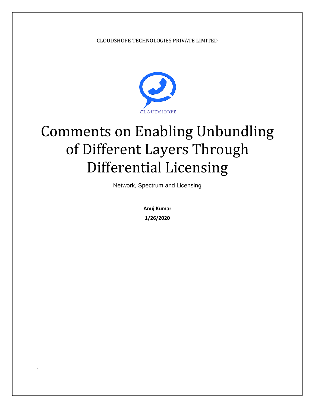#### CLOUDSHOPE TECHNOLOGIES PRIVATE LIMITED



# Comments on Enabling Unbundling of Different Layers Through Differential Licensing

Network, Spectrum and Licensing

**Anuj Kumar 1/26/2020**

.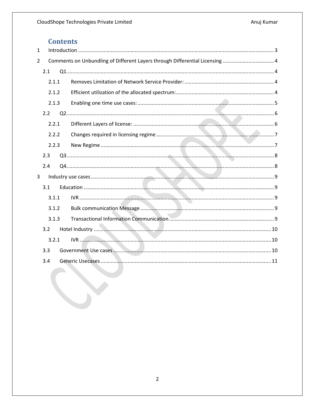# **Contents**

| $\mathbf{1}$   |       |                                                                             |  |  |
|----------------|-------|-----------------------------------------------------------------------------|--|--|
| $\overline{2}$ |       | Comments on Unbundling of Different Layers through Differential Licensing 4 |  |  |
|                | 2.1   |                                                                             |  |  |
|                | 2.1.1 |                                                                             |  |  |
|                | 2.1.2 |                                                                             |  |  |
|                | 2.1.3 |                                                                             |  |  |
|                | 2.2   |                                                                             |  |  |
|                | 2.2.1 |                                                                             |  |  |
|                | 2.2.2 |                                                                             |  |  |
|                | 2.2.3 |                                                                             |  |  |
|                | 2.3   |                                                                             |  |  |
|                | 2.4   |                                                                             |  |  |
| 3              |       |                                                                             |  |  |
|                | 3.1   |                                                                             |  |  |
|                | 3.1.1 |                                                                             |  |  |
|                | 3.1.2 |                                                                             |  |  |
|                | 3.1.3 |                                                                             |  |  |
|                | 3.2   |                                                                             |  |  |
|                | 3.2.1 |                                                                             |  |  |
|                | 3.3   |                                                                             |  |  |
|                | 3.4   |                                                                             |  |  |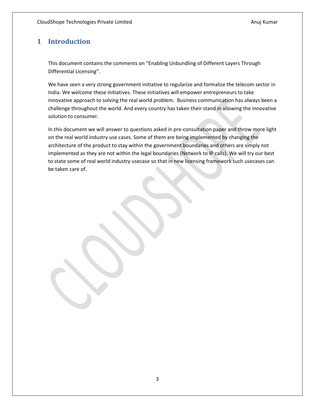## <span id="page-2-0"></span>**1 Introduction**

This document contains the comments on "Enabling Unbundling of Different Layers Through Differential Licensing".

We have seen a very strong government initiative to regularize and formalize the telecom sector in India. We welcome these initiatives. These initiatives will empower entrepreneurs to take innovative approach to solving the real world problem. Business communication has always been a challenge throughout the world. And every country has taken their stand in allowing the innovative solution to consumer.

In this document we will answer to questions asked in pre-consultation paper and throw more light on the real world industry use cases. Some of them are being implemented by changing the architecture of the product to stay within the government boundaries and others are simply not implemented as they are not within the legal boundaries (Network to IP calls). We will try our best to state some of real world industry usecase so that in new licensing framework such usecases can be taken care of.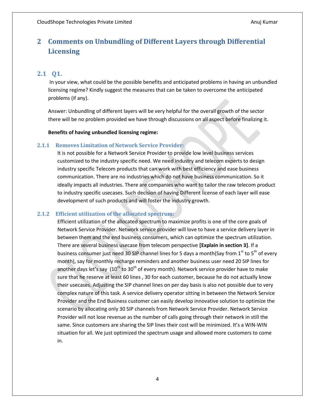## <span id="page-3-0"></span>**2 Comments on Unbundling of Different Layers through Differential Licensing**

#### <span id="page-3-1"></span>**2.1 Q1.**

In your view, what could be the possible benefits and anticipated problems in having an unbundled licensing regime? Kindly suggest the measures that can be taken to overcome the anticipated problems (if any).

Answer: Unbundling of different layers will be very helpful for the overall growth of the sector there will be no problem provided we have through discussions on all aspect before finalizing it.

#### **Benefits of having unbundled licensing regime:**

#### <span id="page-3-2"></span>**2.1.1 Removes Limitation of Network Service Provider:**

It is not possible for a Network Service Provider to provide low level business services customized to the industry specific need. We need industry and telecom experts to design industry specific Telecom products that can work with best efficiency and ease business communication. There are no industries which do not have business communication. So it ideally impacts all industries. There are companies who want to tailor the raw telecom product to industry specific usecases. Such decision of having Different license of each layer will ease development of such products and will foster the industry growth.

#### <span id="page-3-3"></span>**2.1.2 Efficient utilization of the allocated spectrum:**

Efficient utilization of the allocated spectrum to maximize profits is one of the core goals of Network Service Provider. Network service provider will love to have a service delivery layer in between them and the end business consumers, which can optimize the spectrum utilization. There are several business usecase from telecom perspective **[Explain in section 3]**. If a business consumer just need 30 SIP channel lines for 5 days a month(Say from  $1^{st}$  to  $5^{th}$  of every month), say for monthly recharge reminders and another business user need 20 SIP lines for another days let's say  $(10^{th}$  to  $30^{th}$  of every month). Network service provider have to make sure that he reserve at least 60 lines , 30 for each customer, because he do not actually know their usecases. Adjusting the SIP channel lines on per day basis is also not possible due to very complex nature of this task. A service delivery operator sitting in between the Network Service Provider and the End Business customer can easily develop innovative solution to optimize the scenario by allocating only 30 SIP channels from Network Service Provider. Network Service Provider will not lose revenue as the number of calls going through their network in still the same. Since customers are sharing the SIP lines their cost will be minimized. It's a WIN-WIN situation for all. We just optimized the spectrum usage and allowed more customers to come in.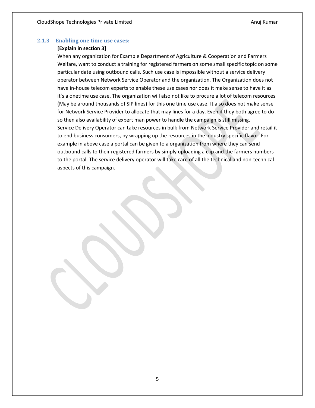#### <span id="page-4-0"></span>**2.1.3 Enabling one time use cases:**

#### **[Explain in section 3]**

When any organization for Example Department of Agriculture & Cooperation and Farmers Welfare, want to conduct a training for registered farmers on some small specific topic on some particular date using outbound calls. Such use case is impossible without a service delivery operator between Network Service Operator and the organization. The Organization does not have in-house telecom experts to enable these use cases nor does it make sense to have it as it's a onetime use case. The organization will also not like to procure a lot of telecom resources (May be around thousands of SIP lines) for this one time use case. It also does not make sense for Network Service Provider to allocate that may lines for a day. Even if they both agree to do so then also availability of expert man power to handle the campaign is still missing. Service Delivery Operator can take resources in bulk from Network Service Provider and retail it to end business consumers, by wrapping up the resources in the industry specific flavor. For example in above case a portal can be given to a organization from where they can send outbound calls to their registered farmers by simply uploading a clip and the farmers numbers to the portal. The service delivery operator will take care of all the technical and non-technical aspects of this campaign.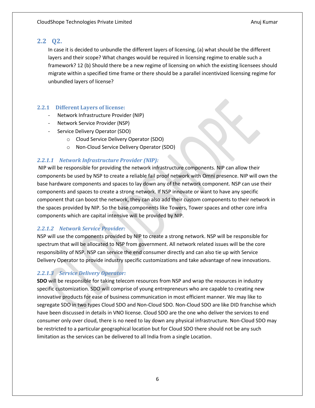### <span id="page-5-0"></span>**2.2 Q2.**

In case it is decided to unbundle the different layers of licensing, (a) what should be the different layers and their scope? What changes would be required in licensing regime to enable such a framework? 12 (b) Should there be a new regime of licensing on which the existing licensees should migrate within a specified time frame or there should be a parallel incentivized licensing regime for unbundled layers of license?

#### <span id="page-5-1"></span>**2.2.1 Different Layers of license:**

- Network Infrastructure Provider (NIP)
- Network Service Provider (NSP)
- Service Delivery Operator (SDO)
	- o Cloud Service Delivery Operator (SDO)
	- o Non-Cloud Service Delivery Operator (SDO)

#### *2.2.1.1 Network Infrastructure Provider (NIP):*

NIP will be responsible for providing the network infrastructure components. NIP can allow their components be used by NSP to create a reliable fail proof network with Omni presence. NIP will own the base hardware components and spaces to lay down any of the network component. NSP can use their components and spaces to create a strong network. If NSP innovate or want to have any specific component that can boost the network, they can also add their custom components to their network in the spaces provided by NIP. So the base components like Towers, Tower spaces and other core infra components which are capital intensive will be provided by NIP.

#### *2.2.1.2 Network Service Provider:*

NSP will use the components provided by NIP to create a strong network. NSP will be responsible for spectrum that will be allocated to NSP from government. All network related issues will be the core responsibility of NSP. NSP can service the end consumer directly and can also tie up with Service Delivery Operator to provide industry specific customizations and take advantage of new innovations.

## *2.2.1.3 Service Delivery Operator:*

**SDO** will be responsible for taking telecom resources from NSP and wrap the resources in industry specific customization. SDO will comprise of young entrepreneurs who are capable to creating new innovative products for ease of business communication in most efficient manner. We may like to segregate SDO in two types Cloud SDO and Non-Cloud SDO. Non-Cloud SDO are like DID franchise which have been discussed in details in VNO license. Cloud SDO are the one who deliver the services to end consumer only over cloud, there is no need to lay down any physical infrastructure. Non-Cloud SDO may be restricted to a particular geographical location but for Cloud SDO there should not be any such limitation as the services can be delivered to all India from a single Location.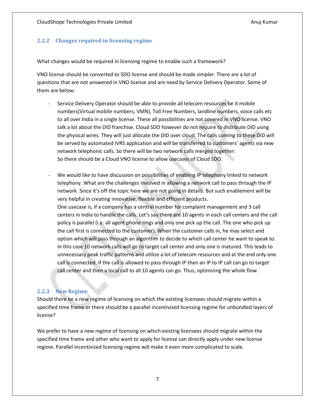#### <span id="page-6-0"></span>**2.2.2 Changes required in licensing regime**

What changes would be required in licensing regime to enable such a framework?

VNO license should be converted to SDO license and should be made simpler. There are a lot of questions that are not answered in VNO license and are need by Service Delivery Operator. Some of them are below:

- Service Delivery Operator should be able to provide all telecom resources be it mobile numbers(Virtual mobile numbers, VMN), Toll Free Numbers, landline numbers, voice calls etc to all over India in a single license. These all possibilities are not covered in VNO license. VNO talk a lot about the DID franchise. Cloud SDO however do not require to distribute DID using the physical wires. They will just allocate the DID over cloud. The calls coming to these DID will be served by automated IVRS application and will be transferred to customers' agents via new network telephonic calls. So there will be two network calls merged together. So there should be a Cloud VNO license to allow usecases of Cloud SDO.
- We would like to have discussion on possibilities of enabling IP telephony linked to network telephony. What are the challenges involved in allowing a network call to pass through the IP network. Since it's off the topic here we are not going in details. But such enablement will be very helpful in creating innovative, flexible and efficient products. One usecase is, if a company has a central number for complaint management and 3 call centers in India to handle the calls. Let's say there are 10 agents in each call centers and the call policy is parallel (i.e. all agent phone rings and only one pick up the call. The one who pick up the call first is connected to the customer). When the customer calls in, he may select and option which will pass through an algorithm to decide to which call center he want to speak to. In this case 10 network calls will go to target call center and only one is matured. This leads to unnecessary peak traffic patterns and utilize a lot of telecom resources and at the end only one call is connected. If the call is allowed to pass through IP then an IP to IP call can go to target call center and then a local call to all 10 agents can go. Thus, optimizing the whole flow.

#### <span id="page-6-1"></span>**2.2.3 New Regime**

Should there be a new regime of licensing on which the existing licensees should migrate within a specified time frame or there should be a parallel incentivized licensing regime for unbundled layers of license?

We prefer to have a new regime of licensing on which existing licensees should migrate within the specified time frame and other who want to apply for license can directly apply under new license regime. Parallel incentivized licensing regime will make it even more complicated to scale.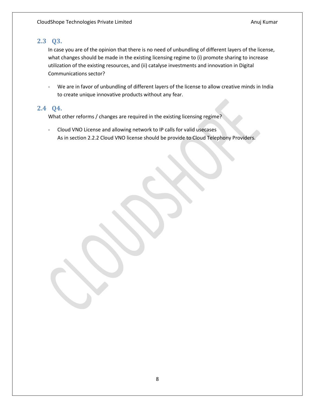## <span id="page-7-0"></span>**2.3 Q3.**

In case you are of the opinion that there is no need of unbundling of different layers of the license, what changes should be made in the existing licensing regime to (i) promote sharing to increase utilization of the existing resources, and (ii) catalyse investments and innovation in Digital Communications sector?

We are in favor of unbundling of different layers of the license to allow creative minds in India to create unique innovative products without any fear.

## <span id="page-7-1"></span>**2.4 Q4.**

What other reforms / changes are required in the existing licensing regime?

- Cloud VNO License and allowing network to IP calls for valid usecases As in section 2.2.2 Cloud VNO license should be provide to Cloud Telephony Providers.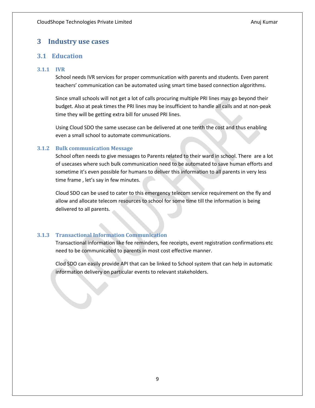## <span id="page-8-0"></span>**3 Industry use cases**

### <span id="page-8-1"></span>**3.1 Education**

#### <span id="page-8-2"></span>**3.1.1 IVR**

School needs IVR services for proper communication with parents and students. Even parent teachers' communication can be automated using smart time based connection algorithms.

Since small schools will not get a lot of calls procuring multiple PRI lines may go beyond their budget. Also at peak times the PRI lines may be insufficient to handle all calls and at non-peak time they will be getting extra bill for unused PRI lines.

Using Cloud SDO the same usecase can be delivered at one tenth the cost and thus enabling even a small school to automate communications.

#### <span id="page-8-3"></span>**3.1.2 Bulk communication Message**

School often needs to give messages to Parents related to their ward in school. There are a lot of usecases where such bulk communication need to be automated to save human efforts and sometime it's even possible for humans to deliver this information to all parents in very less time frame , let's say in few minutes.

Cloud SDO can be used to cater to this emergency telecom service requirement on the fly and allow and allocate telecom resources to school for some time till the information is being delivered to all parents.

#### <span id="page-8-4"></span>**3.1.3 Transactional Information Communication**

Transactional information like fee reminders, fee receipts, event registration confirmations etc need to be communicated to parents in most cost effective manner.

Clod SDO can easily provide API that can be linked to School system that can help in automatic information delivery on particular events to relevant stakeholders.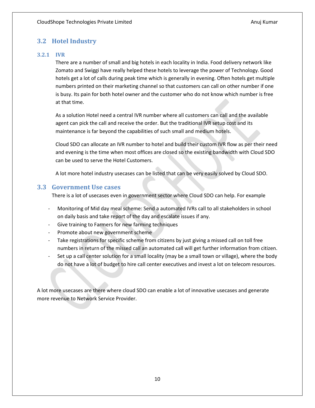## <span id="page-9-0"></span>**3.2 Hotel Industry**

### <span id="page-9-1"></span>**3.2.1 IVR**

There are a number of small and big hotels in each locality in India. Food delivery network like Zomato and Swiggi have really helped these hotels to leverage the power of Technology. Good hotels get a lot of calls during peak time which is generally in evening. Often hotels get multiple numbers printed on their marketing channel so that customers can call on other number if one is busy. Its pain for both hotel owner and the customer who do not know which number is free at that time.

As a solution Hotel need a central IVR number where all customers can call and the available agent can pick the call and receive the order. But the traditional IVR setup cost and its maintenance is far beyond the capabilities of such small and medium hotels.

Cloud SDO can allocate an IVR number to hotel and build their custom IVR flow as per their need and evening is the time when most offices are closed so the existing bandwidth with Cloud SDO can be used to serve the Hotel Customers.

A lot more hotel industry usecases can be listed that can be very easily solved by Cloud SDO.

## <span id="page-9-2"></span>**3.3 Government Use cases**

There is a lot of usecases even in government sector where Cloud SDO can help. For example

- Monitoring of Mid day meal scheme: Send a automated IVRs call to all stakeholders in school on daily basis and take report of the day and escalate issues if any.
- Give training to Farmers for new farming techniques
- Promote about new government scheme
- Take registrations for specific scheme from citizens by just giving a missed call on toll free numbers in return of the missed call an automated call will get further information from citizen.
- Set up a call center solution for a small locality (may be a small town or village), where the body do not have a lot of budget to hire call center executives and invest a lot on telecom resources.

A lot more usecases are there where cloud SDO can enable a lot of innovative usecases and generate more revenue to Network Service Provider.